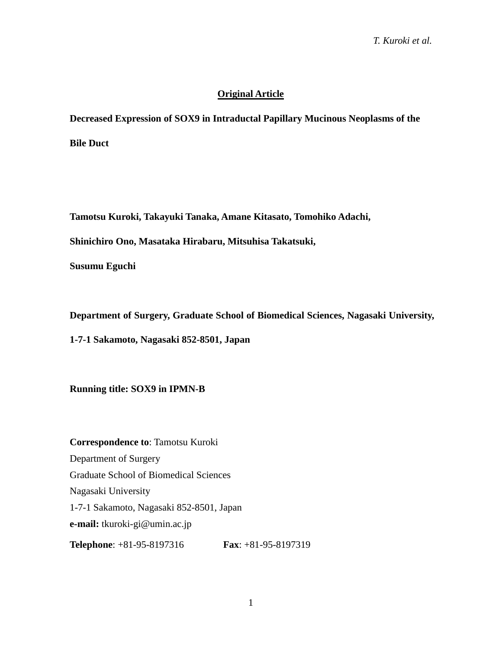# **Original Article**

**Decreased Expression of SOX9 in Intraductal Papillary Mucinous Neoplasms of the** 

**Bile Duct**

**Tamotsu Kuroki, Takayuki Tanaka, Amane Kitasato, Tomohiko Adachi,**

**Shinichiro Ono, Masataka Hirabaru, Mitsuhisa Takatsuki,** 

**Susumu Eguchi**

**Department of Surgery, Graduate School of Biomedical Sciences, Nagasaki University,** 

**1-7-1 Sakamoto, Nagasaki 852-8501, Japan**

**Running title: SOX9 in IPMN-B**

**Correspondence to**: Tamotsu Kuroki Department of Surgery Graduate School of Biomedical Sciences Nagasaki University 1-7-1 Sakamoto, Nagasaki 852-8501, Japan **e-mail:** tkuroki-gi@umin.ac.jp **Telephone**: +81-95-8197316 **Fax**: +81-95-8197319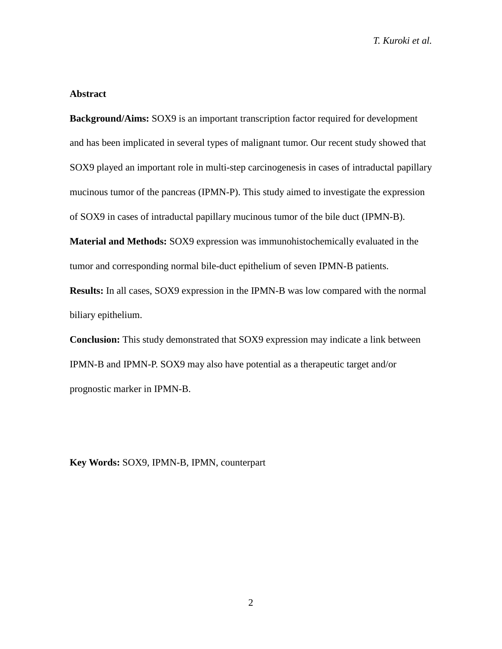### **Abstract**

**Background/Aims:** SOX9 is an important transcription factor required for development and has been implicated in several types of malignant tumor. Our recent study showed that SOX9 played an important role in multi-step carcinogenesis in cases of intraductal papillary mucinous tumor of the pancreas (IPMN-P). This study aimed to investigate the expression of SOX9 in cases of intraductal papillary mucinous tumor of the bile duct (IPMN-B).

**Material and Methods:** SOX9 expression was immunohistochemically evaluated in the tumor and corresponding normal bile-duct epithelium of seven IPMN-B patients.

**Results:** In all cases, SOX9 expression in the IPMN-B was low compared with the normal biliary epithelium.

**Conclusion:** This study demonstrated that SOX9 expression may indicate a link between IPMN-B and IPMN-P. SOX9 may also have potential as a therapeutic target and/or prognostic marker in IPMN-B.

**Key Words:** SOX9, IPMN-B, IPMN, counterpart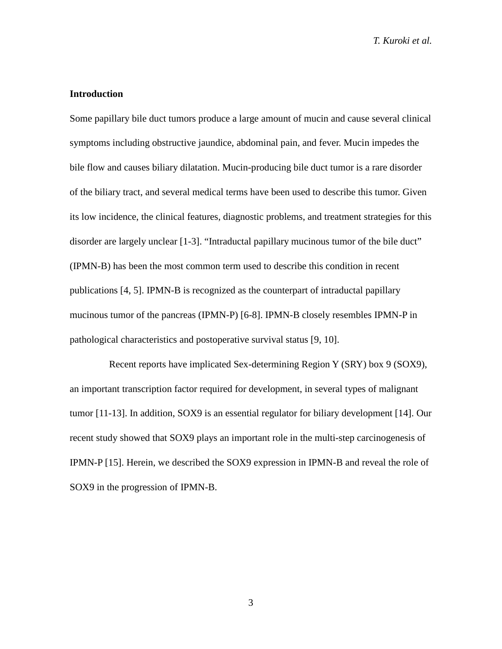### **Introduction**

Some papillary bile duct tumors produce a large amount of mucin and cause several clinical symptoms including obstructive jaundice, abdominal pain, and fever. Mucin impedes the bile flow and causes biliary dilatation. Mucin-producing bile duct tumor is a rare disorder of the biliary tract, and several medical terms have been used to describe this tumor. Given its low incidence, the clinical features, diagnostic problems, and treatment strategies for this disorder are largely unclear [1-3]. "Intraductal papillary mucinous tumor of the bile duct" (IPMN-B) has been the most common term used to describe this condition in recent publications [4, 5]. IPMN-B is recognized as the counterpart of intraductal papillary mucinous tumor of the pancreas (IPMN-P) [6-8]. IPMN-B closely resembles IPMN-P in pathological characteristics and postoperative survival status [9, 10].

Recent reports have implicated Sex-determining Region Y (SRY) box 9 (SOX9), an important transcription factor required for development, in several types of malignant tumor [11-13]. In addition, SOX9 is an essential regulator for biliary development [14]. Our recent study showed that SOX9 plays an important role in the multi-step carcinogenesis of IPMN-P [15]. Herein, we described the SOX9 expression in IPMN-B and reveal the role of SOX9 in the progression of IPMN-B.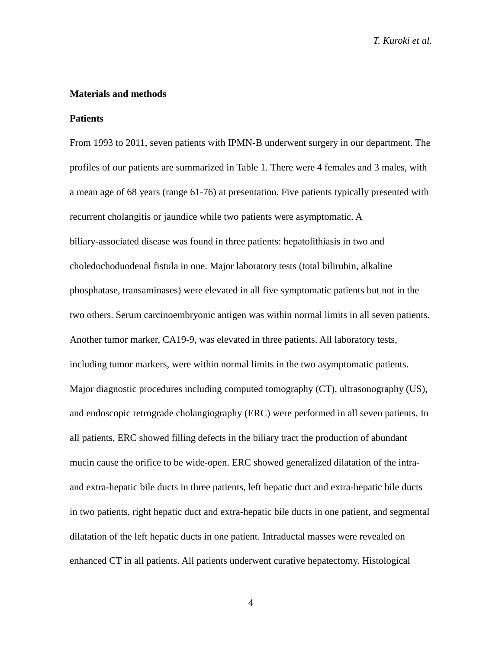### **Materials and methods**

#### **Patients**

From 1993 to 2011, seven patients with IPMN-B underwent surgery in our department. The profiles of our patients are summarized in Table 1. There were 4 females and 3 males, with a mean age of 68 years (range 61-76) at presentation. Five patients typically presented with recurrent cholangitis or jaundice while two patients were asymptomatic. A biliary-associated disease was found in three patients: hepatolithiasis in two and choledochoduodenal fistula in one. Major laboratory tests (total bilirubin, alkaline phosphatase, transaminases) were elevated in all five symptomatic patients but not in the two others. Serum carcinoembryonic antigen was within normal limits in all seven patients. Another tumor marker, CA19-9, was elevated in three patients. All laboratory tests, including tumor markers, were within normal limits in the two asymptomatic patients. Major diagnostic procedures including computed tomography (CT), ultrasonography (US), and endoscopic retrograde cholangiography (ERC) were performed in all seven patients. In all patients, ERC showed filling defects in the biliary tract the production of abundant mucin cause the orifice to be wide-open. ERC showed generalized dilatation of the intraand extra-hepatic bile ducts in three patients, left hepatic duct and extra-hepatic bile ducts in two patients, right hepatic duct and extra-hepatic bile ducts in one patient, and segmental dilatation of the left hepatic ducts in one patient. Intraductal masses were revealed on enhanced CT in all patients. All patients underwent curative hepatectomy. Histological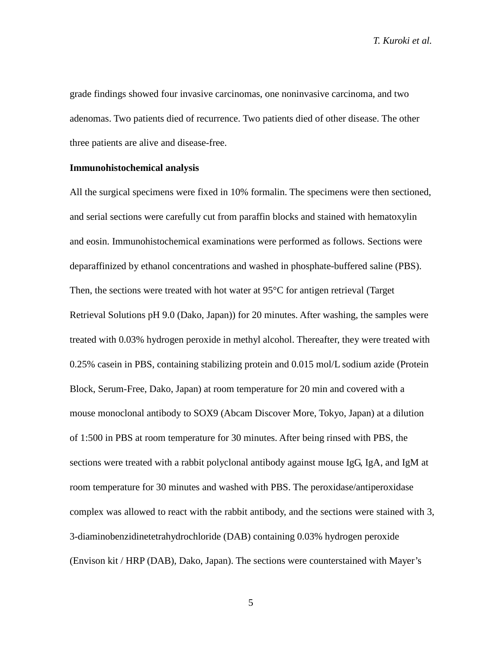grade findings showed four invasive carcinomas, one noninvasive carcinoma, and two adenomas. Two patients died of recurrence. Two patients died of other disease. The other three patients are alive and disease-free.

### **Immunohistochemical analysis**

All the surgical specimens were fixed in 10% formalin. The specimens were then sectioned, and serial sections were carefully cut from paraffin blocks and stained with hematoxylin and eosin. Immunohistochemical examinations were performed as follows. Sections were deparaffinized by ethanol concentrations and washed in phosphate-buffered saline (PBS). Then, the sections were treated with hot water at 95°C for antigen retrieval (Target Retrieval Solutions pH 9.0 (Dako, Japan)) for 20 minutes. After washing, the samples were treated with 0.03% hydrogen peroxide in methyl alcohol. Thereafter, they were treated with 0.25% casein in PBS, containing stabilizing protein and 0.015 mol/L sodium azide (Protein Block, Serum-Free, Dako, Japan) at room temperature for 20 min and covered with a mouse monoclonal antibody to SOX9 (Abcam Discover More, Tokyo, Japan) at a dilution of 1:500 in PBS at room temperature for 30 minutes. After being rinsed with PBS, the sections were treated with a rabbit polyclonal antibody against mouse IgG, IgA, and IgM at room temperature for 30 minutes and washed with PBS. The peroxidase/antiperoxidase complex was allowed to react with the rabbit antibody, and the sections were stained with 3, 3-diaminobenzidinetetrahydrochloride (DAB) containing 0.03% hydrogen peroxide (Envison kit / HRP (DAB), Dako, Japan). The sections were counterstained with Mayer's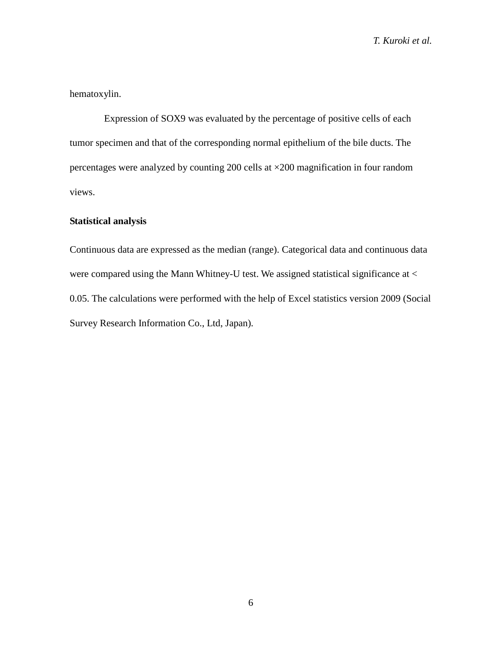hematoxylin.

Expression of SOX9 was evaluated by the percentage of positive cells of each tumor specimen and that of the corresponding normal epithelium of the bile ducts. The percentages were analyzed by counting 200 cells at ×200 magnification in four random views.

### **Statistical analysis**

Continuous data are expressed as the median (range). Categorical data and continuous data were compared using the Mann Whitney-U test. We assigned statistical significance at < 0.05. The calculations were performed with the help of Excel statistics version 2009 (Social Survey Research Information Co., Ltd, Japan).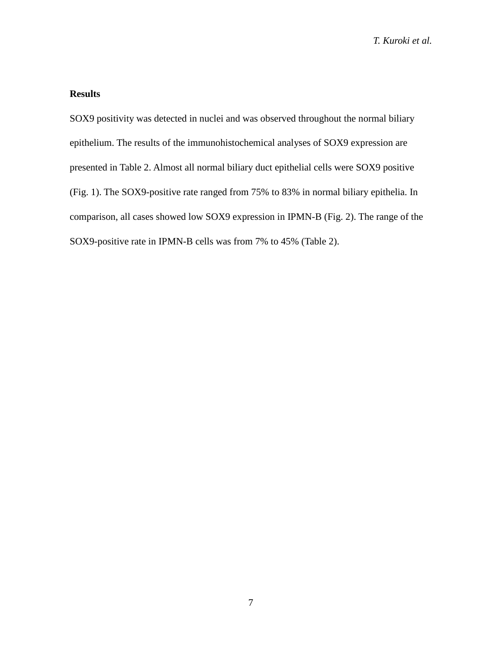### **Results**

SOX9 positivity was detected in nuclei and was observed throughout the normal biliary epithelium. The results of the immunohistochemical analyses of SOX9 expression are presented in Table 2. Almost all normal biliary duct epithelial cells were SOX9 positive (Fig. 1). The SOX9-positive rate ranged from 75% to 83% in normal biliary epithelia. In comparison, all cases showed low SOX9 expression in IPMN-B (Fig. 2). The range of the SOX9-positive rate in IPMN-B cells was from 7% to 45% (Table 2).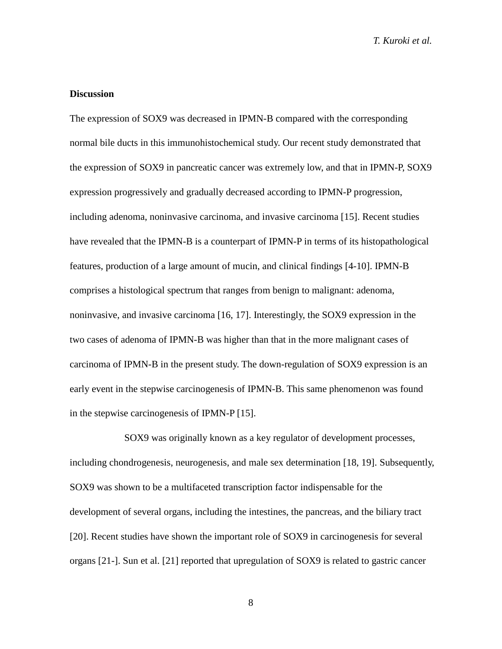### **Discussion**

The expression of SOX9 was decreased in IPMN-B compared with the corresponding normal bile ducts in this immunohistochemical study. Our recent study demonstrated that the expression of SOX9 in pancreatic cancer was extremely low, and that in IPMN-P, SOX9 expression progressively and gradually decreased according to IPMN-P progression, including adenoma, noninvasive carcinoma, and invasive carcinoma [15]. Recent studies have revealed that the IPMN-B is a counterpart of IPMN-P in terms of its histopathological features, production of a large amount of mucin, and clinical findings [4-10]. IPMN-B comprises a histological spectrum that ranges from benign to malignant: adenoma, noninvasive, and invasive carcinoma [16, 17]. Interestingly, the SOX9 expression in the two cases of adenoma of IPMN-B was higher than that in the more malignant cases of carcinoma of IPMN-B in the present study. The down-regulation of SOX9 expression is an early event in the stepwise carcinogenesis of IPMN-B. This same phenomenon was found in the stepwise carcinogenesis of IPMN-P [15].

SOX9 was originally known as a key regulator of development processes, including chondrogenesis, neurogenesis, and male sex determination [18, 19]. Subsequently, SOX9 was shown to be a multifaceted transcription factor indispensable for the development of several organs, including the intestines, the pancreas, and the biliary tract [20]. Recent studies have shown the important role of SOX9 in carcinogenesis for several organs [21-]. Sun et al. [21] reported that upregulation of SOX9 is related to gastric cancer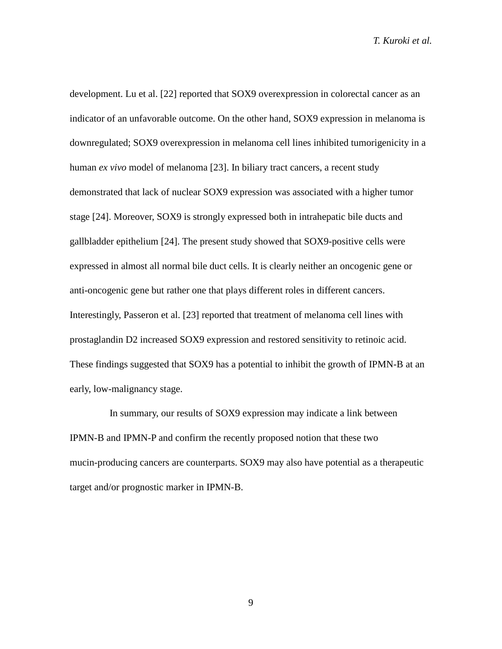development. Lu et al. [22] reported that SOX9 overexpression in colorectal cancer as an indicator of an unfavorable outcome. On the other hand, SOX9 expression in melanoma is downregulated; SOX9 overexpression in melanoma cell lines inhibited tumorigenicity in a human *ex vivo* model of melanoma [23]. In biliary tract cancers, a recent study demonstrated that lack of nuclear SOX9 expression was associated with a higher tumor stage [24]. Moreover, SOX9 is strongly expressed both in intrahepatic bile ducts and gallbladder epithelium [24]. The present study showed that SOX9-positive cells were expressed in almost all normal bile duct cells. It is clearly neither an oncogenic gene or anti-oncogenic gene but rather one that plays different roles in different cancers. Interestingly, Passeron et al. [23] reported that treatment of melanoma cell lines with prostaglandin D2 increased SOX9 expression and restored sensitivity to retinoic acid. These findings suggested that SOX9 has a potential to inhibit the growth of IPMN-B at an early, low-malignancy stage.

In summary, our results of SOX9 expression may indicate a link between IPMN-B and IPMN-P and confirm the recently proposed notion that these two mucin-producing cancers are counterparts. SOX9 may also have potential as a therapeutic target and/or prognostic marker in IPMN-B.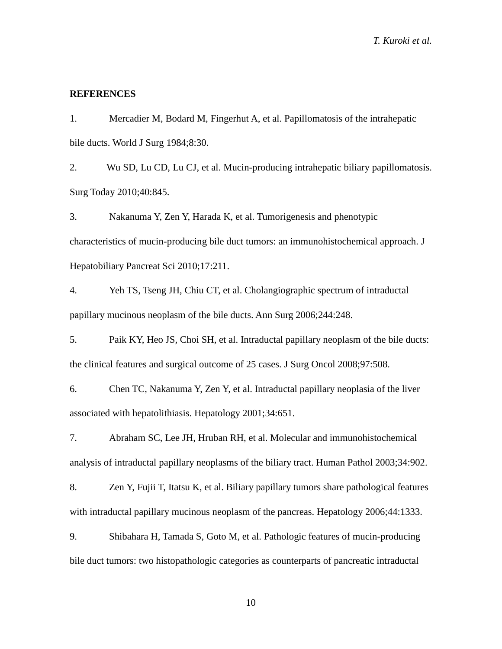### **REFERENCES**

1. Mercadier M, Bodard M, Fingerhut A, et al. Papillomatosis of the intrahepatic bile ducts. World J Surg 1984;8:30.

2. Wu SD, Lu CD, Lu CJ, et al. Mucin-producing intrahepatic biliary papillomatosis. Surg Today 2010;40:845.

3. Nakanuma Y, Zen Y, Harada K, et al. Tumorigenesis and phenotypic characteristics of mucin-producing bile duct tumors: an immunohistochemical approach. J Hepatobiliary Pancreat Sci 2010;17:211.

4. Yeh TS, Tseng JH, Chiu CT, et al. Cholangiographic spectrum of intraductal papillary mucinous neoplasm of the bile ducts. Ann Surg 2006;244:248.

5. Paik KY, Heo JS, Choi SH, et al. Intraductal papillary neoplasm of the bile ducts: the clinical features and surgical outcome of 25 cases. J Surg Oncol 2008;97:508.

6. Chen TC, Nakanuma Y, Zen Y, et al. Intraductal papillary neoplasia of the liver associated with hepatolithiasis. Hepatology 2001;34:651.

7. Abraham SC, Lee JH, Hruban RH, et al. Molecular and immunohistochemical analysis of intraductal papillary neoplasms of the biliary tract. Human Pathol 2003;34:902.

8. Zen Y, Fujii T, Itatsu K, et al. Biliary papillary tumors share pathological features with intraductal papillary mucinous neoplasm of the pancreas. Hepatology 2006;44:1333.

9. Shibahara H, Tamada S, Goto M, et al. Pathologic features of mucin-producing bile duct tumors: two histopathologic categories as counterparts of pancreatic intraductal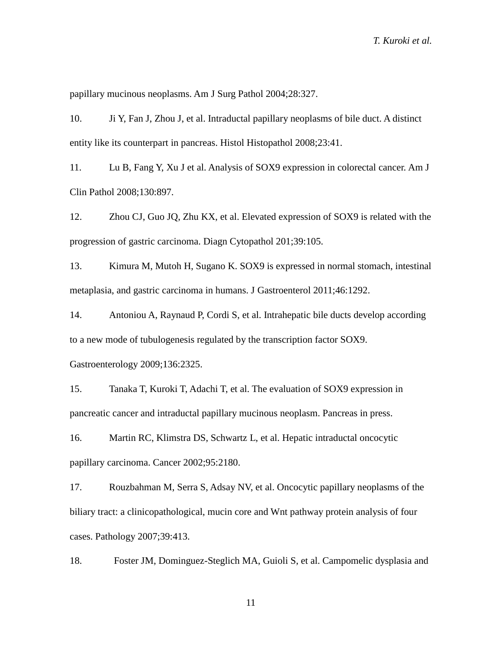papillary mucinous neoplasms. Am J Surg Pathol 2004;28:327.

10. Ji Y, Fan J, Zhou J, et al. Intraductal papillary neoplasms of bile duct. A distinct entity like its counterpart in pancreas. Histol Histopathol 2008;23:41.

11. Lu B, Fang Y, Xu J et al. Analysis of SOX9 expression in colorectal cancer. Am J Clin Pathol 2008;130:897.

12. Zhou CJ, Guo JQ, Zhu KX, et al. Elevated expression of SOX9 is related with the progression of gastric carcinoma. Diagn Cytopathol 201;39:105.

13. Kimura M, Mutoh H, Sugano K. SOX9 is expressed in normal stomach, intestinal metaplasia, and gastric carcinoma in humans. J Gastroenterol 2011;46:1292.

14. Antoniou A, Raynaud P, Cordi S, et al. Intrahepatic bile ducts develop according to a new mode of tubulogenesis regulated by the transcription factor SOX9.

Gastroenterology 2009;136:2325.

15. Tanaka T, Kuroki T, Adachi T, et al. The evaluation of SOX9 expression in pancreatic cancer and intraductal papillary mucinous neoplasm. Pancreas in press.

16. Martin RC, Klimstra DS, Schwartz L, et al. Hepatic intraductal oncocytic papillary carcinoma. Cancer 2002;95:2180.

17. Rouzbahman M, Serra S, Adsay NV, et al. Oncocytic papillary neoplasms of the biliary tract: a clinicopathological, mucin core and Wnt pathway protein analysis of four cases. Pathology 2007;39:413.

18. Foster JM, Dominguez-Steglich MA, Guioli S, et al. Campomelic dysplasia and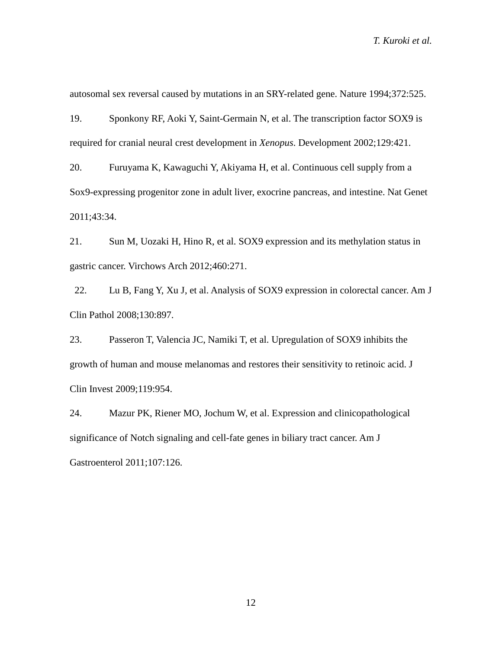autosomal sex reversal caused by mutations in an SRY-related gene. Nature 1994;372:525.

19. Sponkony RF, Aoki Y, Saint-Germain N, et al. The transcription factor SOX9 is required for cranial neural crest development in *Xenopus*. Development 2002;129:421.

20. Furuyama K, Kawaguchi Y, Akiyama H, et al. Continuous cell supply from a Sox9-expressing progenitor zone in adult liver, exocrine pancreas, and intestine. Nat Genet 2011;43:34.

21. Sun M, Uozaki H, Hino R, et al. SOX9 expression and its methylation status in gastric cancer. Virchows Arch 2012;460:271.

22. Lu B, Fang Y, Xu J, et al. Analysis of SOX9 expression in colorectal cancer. Am J Clin Pathol 2008;130:897.

23. Passeron T, Valencia JC, Namiki T, et al. Upregulation of SOX9 inhibits the growth of human and mouse melanomas and restores their sensitivity to retinoic acid. J Clin Invest 2009;119:954.

24. Mazur PK, Riener MO, Jochum W, et al. Expression and clinicopathological significance of Notch signaling and cell-fate genes in biliary tract cancer. Am J Gastroenterol 2011;107:126.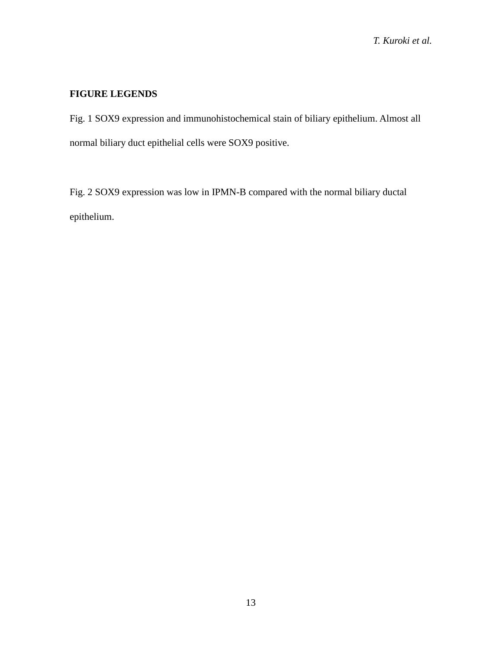## **FIGURE LEGENDS**

Fig. 1 SOX9 expression and immunohistochemical stain of biliary epithelium. Almost all normal biliary duct epithelial cells were SOX9 positive.

Fig. 2 SOX9 expression was low in IPMN-B compared with the normal biliary ductal epithelium.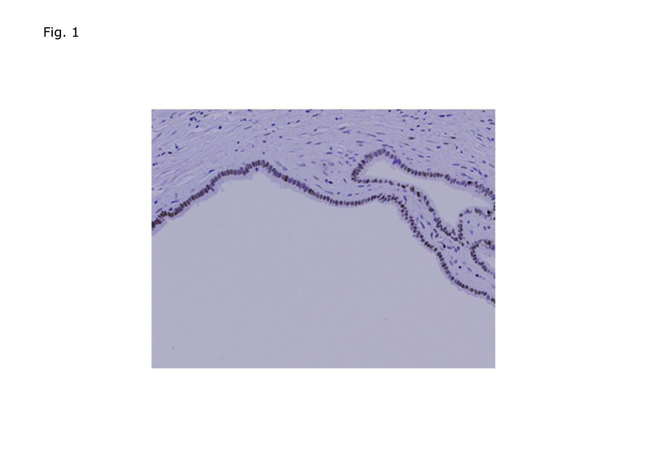Fig. 1

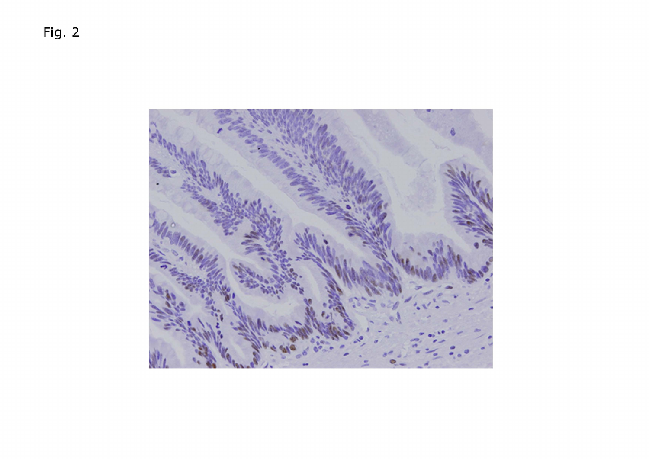Fig. 2

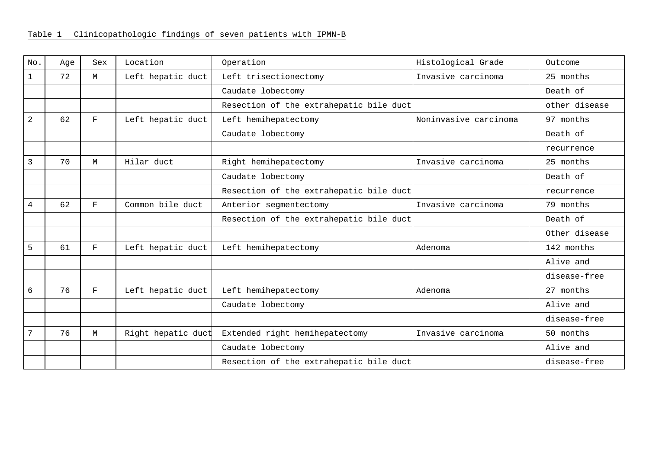| No.            | Age | Sex          | Location           | Operation                               | Histological Grade    | Outcome       |
|----------------|-----|--------------|--------------------|-----------------------------------------|-----------------------|---------------|
| 1              | 72  | M            | Left hepatic duct  | Left trisectionectomy                   | Invasive carcinoma    | 25 months     |
|                |     |              |                    | Caudate lobectomy                       |                       | Death of      |
|                |     |              |                    | Resection of the extrahepatic bile duct |                       | other disease |
| $\overline{a}$ | 62  | F            | Left hepatic duct  | Left hemihepatectomy                    | Noninvasive carcinoma | 97 months     |
|                |     |              |                    | Caudate lobectomy                       |                       | Death of      |
|                |     |              |                    |                                         |                       | recurrence    |
| 3              | 70  | M            | Hilar duct         | Right hemihepatectomy                   | Invasive carcinoma    | 25 months     |
|                |     |              |                    | Caudate lobectomy                       |                       | Death of      |
|                |     |              |                    | Resection of the extrahepatic bile duct |                       | recurrence    |
| 4              | 62  | F            | Common bile duct   | Anterior segmentectomy                  | Invasive carcinoma    | 79 months     |
|                |     |              |                    | Resection of the extrahepatic bile duct |                       | Death of      |
|                |     |              |                    |                                         |                       | Other disease |
| 5              | 61  | $\mathbf{F}$ | Left hepatic duct  | Left hemihepatectomy                    | Adenoma               | 142 months    |
|                |     |              |                    |                                         |                       | Alive and     |
|                |     |              |                    |                                         |                       | disease-free  |
| 6              | 76  | $_{\rm F}$   | Left hepatic duct  | Left hemihepatectomy                    | Adenoma               | 27 months     |
|                |     |              |                    | Caudate lobectomy                       |                       | Alive and     |
|                |     |              |                    |                                         |                       | disease-free  |
| 7              | 76  | M            | Right hepatic duct | Extended right hemihepatectomy          | Invasive carcinoma    | 50 months     |
|                |     |              |                    | Caudate lobectomy                       |                       | Alive and     |
|                |     |              |                    | Resection of the extrahepatic bile duct |                       | disease-free  |